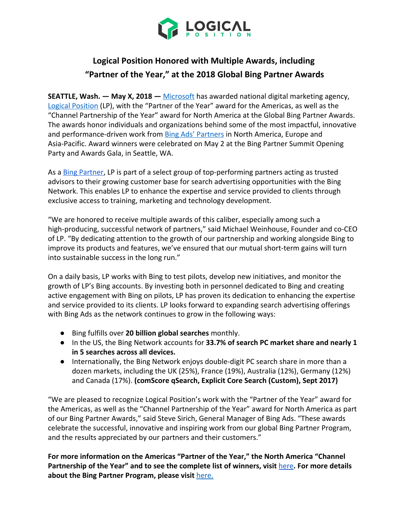

## **Logical Position Honored with Multiple Awards, including "Partner of the Year," at the 2018 Global Bing Partner Awards**

**SEATTLE, Wash. — May X, 2018 —** [Microsoft](https://www.microsoft.com/en-us/) has awarded national digital marketing agency, [Logical Position](http://www.logicalposition.com/) (LP), with the "Partner of the Year" award for the Americas, as well as the "Channel Partnership of the Year" award for North America at the Global Bing Partner Awards. The awards honor individuals and organizations behind some of the most impactful, innovative and performance-driven work from **[Bing Ads' Partners](https://advertise.bingads.microsoft.com/en-us/resources/bing-partner-program/bing-partner-program) in North America**, Europe and Asia-Pacific. Award winners were celebrated on May 2 at the Bing Partner Summit Opening Party and Awards Gala, in Seattle, WA.

As a **Bing Partner**, LP is part of a select group of top-performing partners acting as trusted advisors to their growing customer base for search advertising opportunities with the Bing Network. This enables LP to enhance the expertise and service provided to clients through exclusive access to training, marketing and technology development.

"We are honored to receive multiple awards of this caliber, especially among such a high-producing, successful network of partners," said Michael Weinhouse, Founder and co-CEO of LP. "By dedicating attention to the growth of our partnership and working alongside Bing to improve its products and features, we've ensured that our mutual short-term gains will turn into sustainable success in the long run."

On a daily basis, LP works with Bing to test pilots, develop new initiatives, and monitor the growth of LP's Bing accounts. By investing both in personnel dedicated to Bing and creating active engagement with Bing on pilots, LP has proven its dedication to enhancing the expertise and service provided to its clients. LP looks forward to expanding search advertising offerings with Bing Ads as the network continues to grow in the following ways:

- Bing fulfills over **20 billion global searches** monthly.
- In the US, the Bing Network accounts for **33.7% of search PC market share and nearly 1 in 5 searches across all devices.**
- Internationally, the Bing Network enjoys double-digit PC search share in more than a dozen markets, including the UK (25%), France (19%), Australia (12%), Germany (12%) and Canada (17%). **(comScore qSearch, Explicit Core Search (Custom), Sept 2017)**

"We are pleased to recognize Logical Position's work with the "Partner of the Year" award for the Americas, as well as the "Channel Partnership of the Year" award for North America as part of our Bing Partner Awards," said Steve Sirich, General Manager of Bing Ads. "These awards celebrate the successful, innovative and inspiring work from our global Bing Partner Program, and the results appreciated by our partners and their customers."

**For more information on the Americas "Partner of the Year," the North America "Channel Partnership of the Year" and to see the complete list of winners, visit** [here](https://advertise.bingads.microsoft.com/en-us/blog/post/april-2018/bing-celebrates-global-bing-partner-award-winners)**. For more details about the Bing Partner Program, please visit** [here.](https://advertise.bingads.microsoft.com/en-us/bing-partners/welcome)